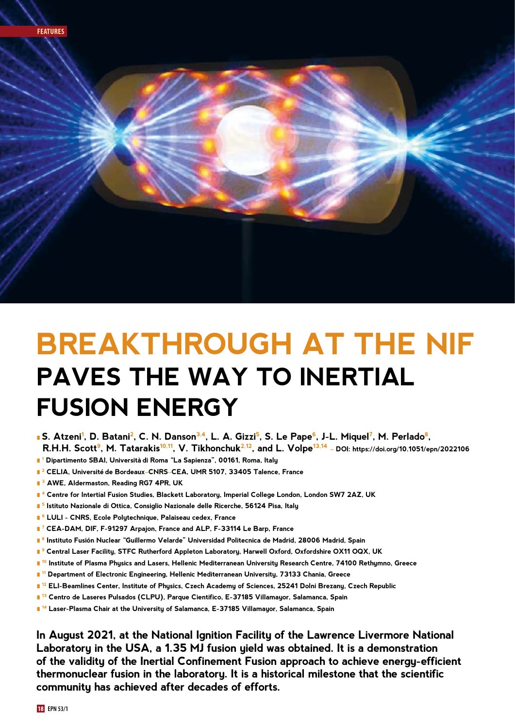

# **BREAKTHROUGH AT THE NIF PAVES THE WAY TO INERTIAL FUSION ENERGY**

- **S. Atzeni<sup>1</sup>, D. Batani<sup>2</sup>, C. N. Danson<sup>3,4</sup>, L. A. Gizzi<sup>5</sup>, S. Le Pape<sup>6</sup>, J-L. Miquel<sup>7</sup>, M. Perlado<sup>8</sup>, R.H.H. Scott9, M. Tatarakis10,11, V. Tikhonchuk2,12, and L. Volpe13,14 – DOI: [https://doi.org/10.1051/epn/](https://doi.org/10.1051/epn/2021505)2022106**
- l **1 Dipartimento SBAI, Universita` di Roma "La Sapienza", 00161, Roma, Italy**
- **<sup>2</sup> CELIA, Université de Bordeaux–CNRS–CEA, UMR 5107, 33405 Talence, France**
- l **3 AWE, Aldermaston, Reading RG7 4PR, UK**
- l **4 Centre for Intertial Fusion Studies, Blackett Laboratory, Imperial College London, London SW7 2AZ, UK**
- l **5 Istituto Nazionale di Ottica, Consiglio Nazionale delle Ricerche, 56124 Pisa, Italy**
- l **6 LULI CNRS, Ecole Polytechnique, Palaiseau cedex, France**
- l **7 CEA-DAM, DIF, F-91297 Arpajon, France and ALP, F-33114 Le Barp, France**
- l **8 Instituto Fusio´n Nuclear "Guillermo Velarde" Universidad Politecnica de Madrid, 28006 Madrid, Spain**
- <u>■ <sup>9</sup> Central Laser Facility, STFC Rutherford Appleton Laboratory, Harwell Oxford, Oxfordshire OX11 OQX, UK</u>
- l **10 Institute of Plasma Physics and Lasers, Hellenic Mediterranean University Research Centre, 74100 Rethymno, Greece**
- l **11 Department of Electronic Engineering, Hellenic Mediterranean University, 73133 Chania, Greece**
- l **12 ELI-Beamlines Center, Institute of Physics, Czech Academy of Sciences, 25241 Dolni Brezany, Czech Republic**
- <u>∎ 13</u><br>∎ 13 Centro de Laseres Pulsados (CLPU), Parque Cientifico, E-37185 Villamayor, Salamanca, Spain
- l **14 Laser-Plasma Chair at the University of Salamanca, E-37185 Villamayor, Salamanca, Spain**

**In August 2021, at the National Ignition Facility of the Lawrence Livermore National Laboratory in the USA, a 1.35 MJ fusion yield was obtained. It is a demonstration of the validity of the Inertial Confinement Fusion approach to achieve energy-efficient thermonuclear fusion in the laboratory. It is a historical milestone that the scientific community has achieved after decades of efforts.**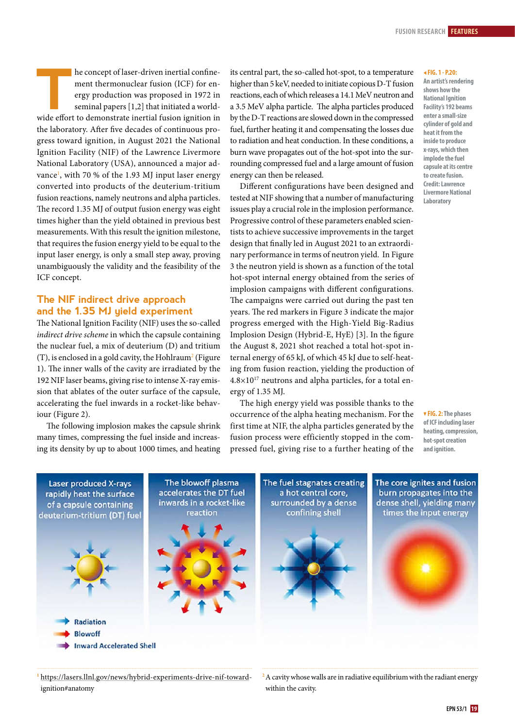**THE CONCRETE CONCRETE CONFIDENTIFY AND THE CONFIDENTIFY AND APPLY THE CONFIDENTIFY AND SET OF A SET OF A SET OF A SET OF A SET OF A SET OF A SET OF A SET OF A SET OF A SET OF A SET OF A SET OF A SET OF A SET OF A SET OF A** ment thermonuclear fusion (ICF) for energy production was proposed in 1972 in seminal papers [1,2] that initiated a worldthe laboratory. After five decades of continuous progress toward ignition, in August 2021 the National Ignition Facility (NIF) of the Lawrence Livermore National Laboratory (USA), announced a major advance<sup>1</sup>, with 70 % of the 1.93 MJ input laser energy converted into products of the deuterium-tritium fusion reactions, namely neutrons and alpha particles. The record 1.35 MJ of output fusion energy was eight times higher than the yield obtained in previous best measurements. With this result the ignition milestone, that requires the fusion energy yield to be equal to the input laser energy, is only a small step away, proving unambiguously the validity and the feasibility of the ICF concept.

# **The NIF indirect drive approach and the 1.35 MJ yield experiment**

The National Ignition Facility (NIF) uses the so-called *indirect drive scheme in which the capsule containing* the nuclear fuel, a mix of deuterium (D) and tritium  $(T)$ , is enclosed in a gold cavity, the Hohlraum<sup>2</sup> (Figure 1). The inner walls of the cavity are irradiated by the 192 NIF laser beams, giving rise to intense X-ray emission that ablates of the outer surface of the capsule, accelerating the fuel inwards in a rocket-like behaviour (Figure 2).

The following implosion makes the capsule shrink many times, compressing the fuel inside and increasing its density by up to about 1000 times, and heating

its central part, the so-called hot-spot, to a temperature higher than 5 keV, needed to initiate copious D-T fusion reactions, each of which releases a 14.1 MeV neutron and a 3.5 MeV alpha particle. The alpha particles produced by the D-T reactions are slowed down in the compressed fuel, further heating it and compensating the losses due to radiation and heat conduction. In these conditions, a burn wave propagates out of the hot-spot into the surrounding compressed fuel and a large amount of fusion energy can then be released.

Different configurations have been designed and tested at NIF showing that a number of manufacturing issues play a crucial role in the implosion performance. Progressive control of these parameters enabled scientists to achieve successive improvements in the target design that finally led in August 2021 to an extraordinary performance in terms of neutron yield. In Figure 3 the neutron yield is shown as a function of the total hot-spot internal energy obtained from the series of implosion campaigns with different configurations. The campaigns were carried out during the past ten years. The red markers in Figure 3 indicate the major progress emerged with the High-Yield Big-Radius Implosion Design (Hybrid-E, HyE) [3]. In the figure the August 8, 2021 shot reached a total hot-spot internal energy of 65 kJ, of which 45 kJ due to self-heating from fusion reaction, yielding the production of  $4.8\times10^{17}$  neutrons and alpha particles, for a total energy of 1.35 MJ.

The high energy yield was possible thanks to the occurrence of the alpha heating mechanism. For the first time at NIF, the alpha particles generated by the fusion process were efficiently stopped in the compressed fuel, giving rise to a further heating of the

#### <sup>b</sup> **FIG. 1 - P.20:**

**An artist's rendering shows how the National Ignition Facility's 192 beams enter a small-size cylinder of gold and heat it from the inside to produce x-rays, which then implode the fuel capsule at its centre to create fusion. Credit: Lawrence Livermore National Laboratory** 

. **FIG. 2: The phases of ICF including laser heating, compression, hot-spot creation and ignition.**



**<sup>1</sup>** [https://lasers.llnl.gov/news/hybrid-experiments-drive-nif-toward](https://lasers.llnl.gov/news/hybrid-experiments-drive-nif-toward-ignition#anatomy)[ignition#anatomy](https://lasers.llnl.gov/news/hybrid-experiments-drive-nif-toward-ignition#anatomy)

<sup>2</sup>A cavity whose walls are in radiative equilibrium with the radiant energy within the cavity.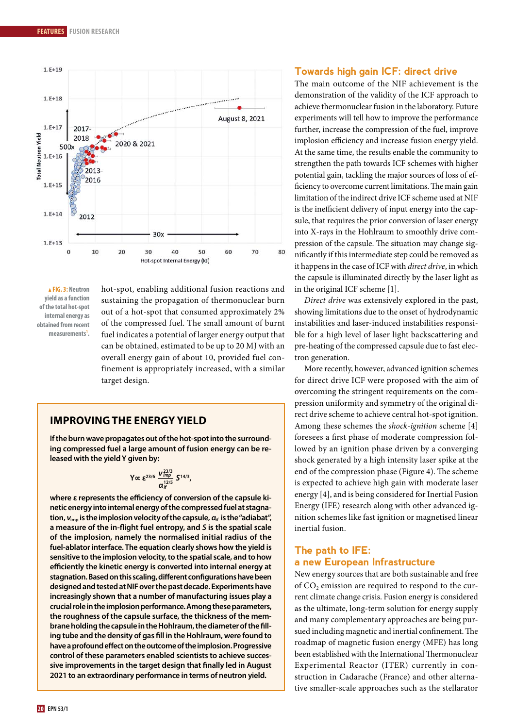

<sup>m</sup> **FIG. 3: Neutron yield as a function of the total hot-spot internal energy as obtained from recent measurements1 .**

hot-spot, enabling additional fusion reactions and sustaining the propagation of thermonuclear burn out of a hot-spot that consumed approximately 2% of the compressed fuel. The small amount of burnt fuel indicates a potential of larger energy output that can be obtained, estimated to be up to 20 MJ with an overall energy gain of about 10, provided fuel confinement is appropriately increased, with a similar target design.

# **IMPROVING THE ENERGY YIELD**

**If the burn wave propagates out of the hot-spot into the surrounding compressed fuel a large amount of fusion energy can be released with the yield Y given by:**

$$
Y \propto \varepsilon^{23/6} \frac{V_{imp}^{23/3}}{\alpha_H^{12/5}} S^{14/3},
$$

**where ε represents the efficiency of conversion of the capsule kinetic energy into internal energy of the compressed fuel at stagnation, νimp is the implosion velocity of the capsule, <sup>α</sup>***if* **is the "adiabat", a measure of the in-flight fuel entropy, and** *S* **is the spatial scale of the implosion, namely the normalised initial radius of the fuel-ablator interface. The equation clearly shows how the yield is sensitive to the implosion velocity, to the spatial scale, and to how efficiently the kinetic energy is converted into internal energy at stagnation. Based on this scaling, different configurations have been designed and tested at NIF over the past decade. Experiments have increasingly shown that a number of manufacturing issues play a crucial role in the implosion performance. Among these parameters, the roughness of the capsule surface, the thickness of the membrane holding the capsule in the Hohlraum, the diameter of the filling tube and the density of gas fill in the Hohlraum, were found to have a profound effect on the outcome of the implosion. Progressive control of these parameters enabled scientists to achieve successive improvements in the target design that finally led in August 2021 to an extraordinary performance in terms of neutron yield.**

## **Towards high gain ICF: direct drive**

The main outcome of the NIF achievement is the demonstration of the validity of the ICF approach to achieve thermonuclear fusion in the laboratory. Future experiments will tell how to improve the performance further, increase the compression of the fuel, improve implosion efficiency and increase fusion energy yield. At the same time, the results enable the community to strengthen the path towards ICF schemes with higher potential gain, tackling the major sources of loss of efficiency to overcome current limitations. The main gain limitation of the indirect drive ICF scheme used at NIF is the inefficient delivery of input energy into the capsule, that requires the prior conversion of laser energy into X-rays in the Hohlraum to smoothly drive compression of the capsule. The situation may change significantly if this intermediate step could be removed as it happens in the case of ICF with *direct drive*, in which the capsule is illuminated directly by the laser light as in the original ICF scheme [1].

*Direct drive* was extensively explored in the past, showing limitations due to the onset of hydrodynamic instabilities and laser-induced instabilities responsible for a high level of laser light backscattering and pre-heating of the compressed capsule due to fast electron generation.

More recently, however, advanced ignition schemes for direct drive ICF were proposed with the aim of overcoming the stringent requirements on the compression uniformity and symmetry of the original direct drive scheme to achieve central hot-spot ignition. Among these schemes the *shock-ignition* scheme [4] foresees a first phase of moderate compression followed by an ignition phase driven by a converging shock generated by a high intensity laser spike at the end of the compression phase (Figure 4). The scheme is expected to achieve high gain with moderate laser energy [4], and is being considered for Inertial Fusion Energy (IFE) research along with other advanced ignition schemes like fast ignition or magnetised linear inertial fusion.

## **The path to IFE: a new European Infrastructure**

New energy sources that are both sustainable and free of  $CO<sub>2</sub>$  emission are required to respond to the current climate change crisis. Fusion energy is considered as the ultimate, long-term solution for energy supply and many complementary approaches are being pursued including magnetic and inertial confinement. The roadmap of magnetic fusion energy (MFE) has long been established with the International Thermonuclear Experimental Reactor (ITER) currently in construction in Cadarache (France) and other alternative smaller-scale approaches such as the stellarator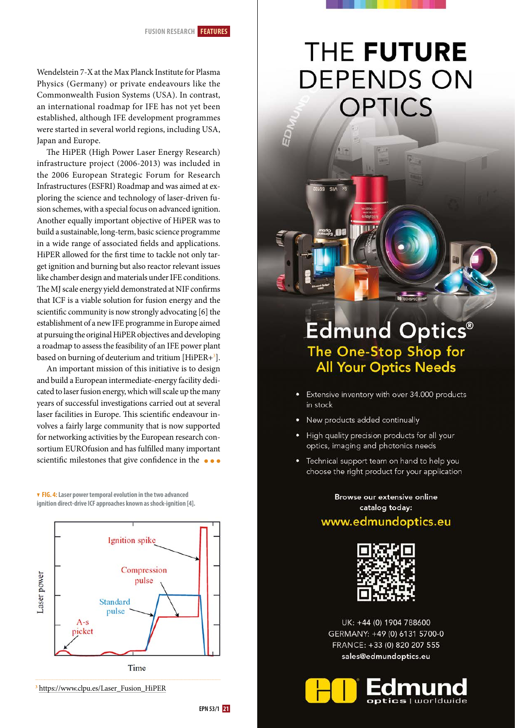Wendelstein 7-X at the Max Planck Institute for Plasma Physics (Germany) or private endeavours like the Commonwealth Fusion Systems (USA). In contrast, an international roadmap for IFE has not yet been established, although IFE development programmes were started in several world regions, including USA, Japan and Europe.

The HiPER (High Power Laser Energy Research) infrastructure project (2006-2013) was included in the 2006 European Strategic Forum for Research Infrastructures (ESFRI) Roadmap and was aimed at exploring the science and technology of laser-driven fusion schemes, with a special focus on advanced ignition. Another equally important objective of HiPER was to build a sustainable, long-term, basic science programme in a wide range of associated fields and applications. HiPER allowed for the first time to tackle not only target ignition and burning but also reactor relevant issues like chamber design and materials under IFE conditions. The MJ scale energy yield demonstrated at NIF confirms that ICF is a viable solution for fusion energy and the scientific community is now strongly advocating [6] the establishment of a new IFE programme in Europe aimed at pursuing the original HiPER objectives and developing a roadmap to assess the feasibility of an IFE power plant based on burning of deuterium and tritium  $[HiPER+{}^{3}]$ .

An important mission of this initiative is to design and build a European intermediate-energy facility dedicated to laser fusion energy, which will scale up the many years of successful investigations carried out at several laser facilities in Europe. This scientific endeavour involves a fairly large community that is now supported for networking activities by the European research consortium EUROfusion and has fulfilled many important scientific milestones that give confidence in the  $\bullet \bullet \bullet$ 

. **FIG. 4: Laser power temporal evolution in the two advanced ignition direct-drive ICF approaches known as shock-ignition [4].**



**<sup>3</sup>** h[ttps://www.clpu.es/Laser\\_Fusion\\_HiPER](ttps://www.clpu.es/Laser_Fusion_HiPER)



# THE FUTURE **DEPENDS ON OPTICS**

# **Edmund Optics®** The One-Stop Shop for<br>All Your Optics Needs

- Extensive inventory with over 34.000 products in stock
- New products added continually

**ZELGS SIA XS** 

- High quality precision products for all your optics, imaging and photonics needs
- Technical support team on hand to help you choose the right product for your application

Browse our extensive online catalog today:

# www.edmundoptics.eu



UK: +44 (0) 1904 788600 GERMANY: +49 (0) 6131 5700-0 FRANCE: +33 (0) 820 207 555 sales@edmundoptics.eu

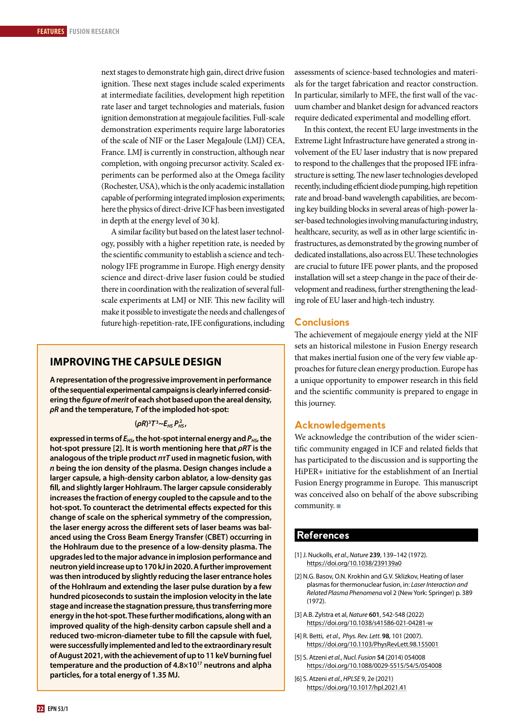next stages to demonstrate high gain, direct drive fusion ignition. These next stages include scaled experiments at intermediate facilities, development high repetition rate laser and target technologies and materials, fusion ignition demonstration at megajoule facilities. Full-scale demonstration experiments require large laboratories of the scale of NIF or the Laser MegaJoule (LMJ) CEA, France. LMJ is currently in construction, although near completion, with ongoing precursor activity. Scaled experiments can be performed also at the Omega facility (Rochester, USA), which is the only academic installation capable of performing integrated implosion experiments; here the physics of direct-drive ICF has been investigated in depth at the energy level of 30 kJ.

A similar facility but based on the latest laser technology, possibly with a higher repetition rate, is needed by the scientific community to establish a science and technology IFE programme in Europe. High energy density science and direct-drive laser fusion could be studied there in coordination with the realization of several fullscale experiments at LMJ or NIF. This new facility will make it possible to investigate the needs and challenges of future high-repetition-rate, IFE configurations, including

## **IMPROVING THE CAPSULE DESIGN**

**A representation of the progressive improvement in performance of the sequential experimental campaigns is clearly inferred considering the** *figure* **of** *merit* **of each shot based upon the areal density,**  *ρR* **and the temperature,** *T* **of the imploded hot-spot:** 

## **(***ρR***) 3** *T* **3 ~***EHS PHS* **2 ,**

expressed in terms of  $E_{HSP}$ , the hot-spot internal energy and  $P_{HSP}$ , the **hot-spot pressure [2]. It is worth mentioning here that** *ρRT* **is the analogous of the triple product** *nτT* **used in magnetic fusion, with**  *n* **being the ion density of the plasma. Design changes include a larger capsule, a high-density carbon ablator, a low-density gas fill, and slightly larger Hohlraum. The larger capsule considerably increases the fraction of energy coupled to the capsule and to the hot-spot. To counteract the detrimental effects expected for this change of scale on the spherical symmetry of the compression, the laser energy across the different sets of laser beams was balanced using the Cross Beam Energy Transfer (CBET) occurring in the Hohlraum due to the presence of a low-density plasma. The upgrades led to the major advance in implosion performance and neutron yield increase up to 170 kJ in 2020. A further improvement was then introduced by slightly reducing the laser entrance holes of the Hohlraum and extending the laser pulse duration by a few hundred picoseconds to sustain the implosion velocity in the late stage and increase the stagnation pressure, thus transferring more energy in the hot-spot. These further modifications, along with an improved quality of the high-density carbon capsule shell and a reduced two-micron-diameter tube to fill the capsule with fuel, were successfully implemented and led to the extraordinary result of August 2021, with the achievement of up to 11 keV burning fuel temperature and the production of 4.8×1017 neutrons and alpha particles, for a total energy of 1.35 MJ.** 

assessments of science-based technologies and materials for the target fabrication and reactor construction. In particular, similarly to MFE, the first wall of the vacuum chamber and blanket design for advanced reactors require dedicated experimental and modelling effort.

In this context, the recent EU large investments in the Extreme Light Infrastructure have generated a strong involvement of the EU laser industry that is now prepared to respond to the challenges that the proposed IFE infrastructure is setting. The new laser technologies developed recently, including efficient diode pumping, high repetition rate and broad-band wavelength capabilities, are becoming key building blocks in several areas of high-power laser-based technologies involving manufacturing industry, healthcare, security, as well as in other large scientific infrastructures, as demonstrated by the growing number of dedicated installations, also across EU. These technologies are crucial to future IFE power plants, and the proposed installation will set a steep change in the pace of their development and readiness, further strengthening the leading role of EU laser and high-tech industry.

### **Conclusions**

The achievement of megajoule energy yield at the NIF sets an historical milestone in Fusion Energy research that makes inertial fusion one of the very few viable approaches for future clean energy production. Europe has a unique opportunity to empower research in this field and the scientific community is prepared to engage in this journey.

## **Acknowledgements**

We acknowledge the contribution of the wider scientific community engaged in ICF and related fields that has participated to the discussion and is supporting the HiPER+ initiative for the establishment of an Inertial Fusion Energy programme in Europe. This manuscript was conceived also on behalf of the above subscribing community. $\blacksquare$ 

### **References**

- [1] J. Nuckolls, *et al.*, *Nature* **239**, 139–142 (1972). https://doi.org/10.1038/239139a0
- [2] N.G. Basov, O.N. Krokhin and G.V. Sklizkov, Heating of laser plasmas for thermonuclear fusion, in: *Laser Interaction and Related Plasma Phenomena* vol 2 (New York: Springer) p. 389 (1972).
- [3] A.B. Zylstra et al, *Nature* **601**, 542-548 (2022) https://doi.org/10.1038/s41586-021-04281-w
- [4] R. Betti, *et al.*, *Phys. Rev. Lett.* **98**, 101 (2007). https://doi.org/10.1103/PhysRevLett.98.155001
- [5] S. Atzeni *et al.*, *Nucl. Fusion* **54** (2014) 054008 https://doi.org/10.1088/0029-5515/54/5/054008
- [6] S. Atzeni *et al.*, *HPLSE* 9, 2e (2021) https://doi.org/10.1017/hpl.2021.41